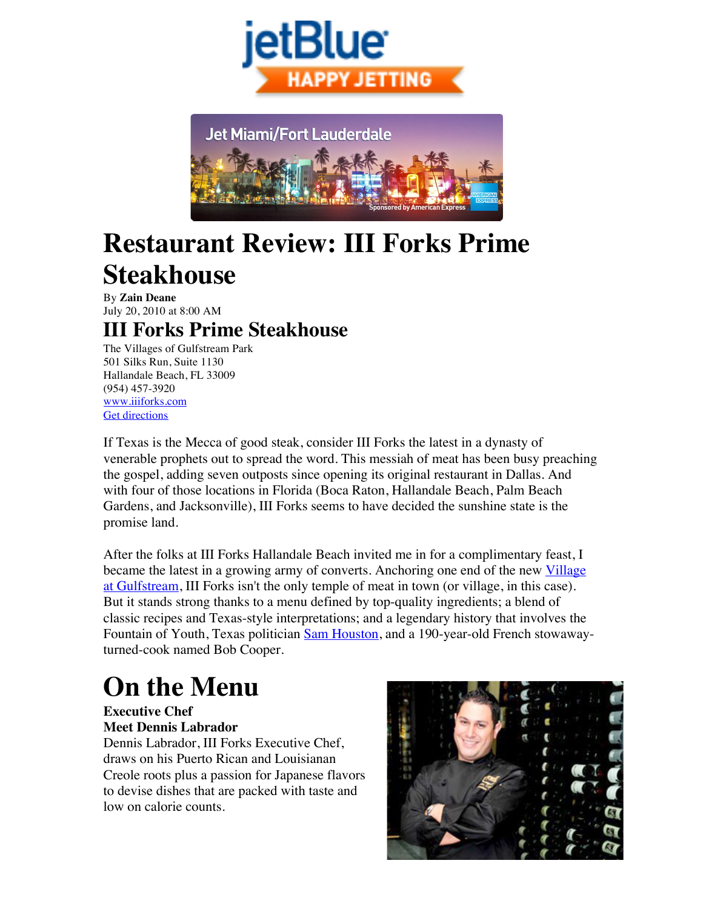



# **Restaurant Review: III Forks Prime Steakhouse**

By **Zain Deane** July 20, 2010 at 8:00 AM

## **III Forks Prime Steakhouse**

The Villages of Gulfstream Park 501 Silks Run, Suite 1130 Hallandale Beach, FL 33009 (954) 457-3920 www.iiiforks.com Get directions

If Texas is the Mecca of good steak, consider III Forks the latest in a dynasty of venerable prophets out to spread the word. This messiah of meat has been busy preaching the gospel, adding seven outposts since opening its original restaurant in Dallas. And with four of those locations in Florida (Boca Raton, Hallandale Beach, Palm Beach Gardens, and Jacksonville), III Forks seems to have decided the sunshine state is the promise land.

After the folks at III Forks Hallandale Beach invited me in for a complimentary feast, I became the latest in a growing army of converts. Anchoring one end of the new Village at Gulfstream, III Forks isn't the only temple of meat in town (or village, in this case). But it stands strong thanks to a menu defined by top-quality ingredients; a blend of classic recipes and Texas-style interpretations; and a legendary history that involves the Fountain of Youth, Texas politician Sam Houston, and a 190-year-old French stowawayturned-cook named Bob Cooper.

# **On the Menu**

#### **Executive Chef Meet Dennis Labrador**

Dennis Labrador, III Forks Executive Chef draws on his Puerto Rican and Louisianan Creole roots plus a passion for Japanese flavors to devise dishes that are packed with taste and low on calorie counts.

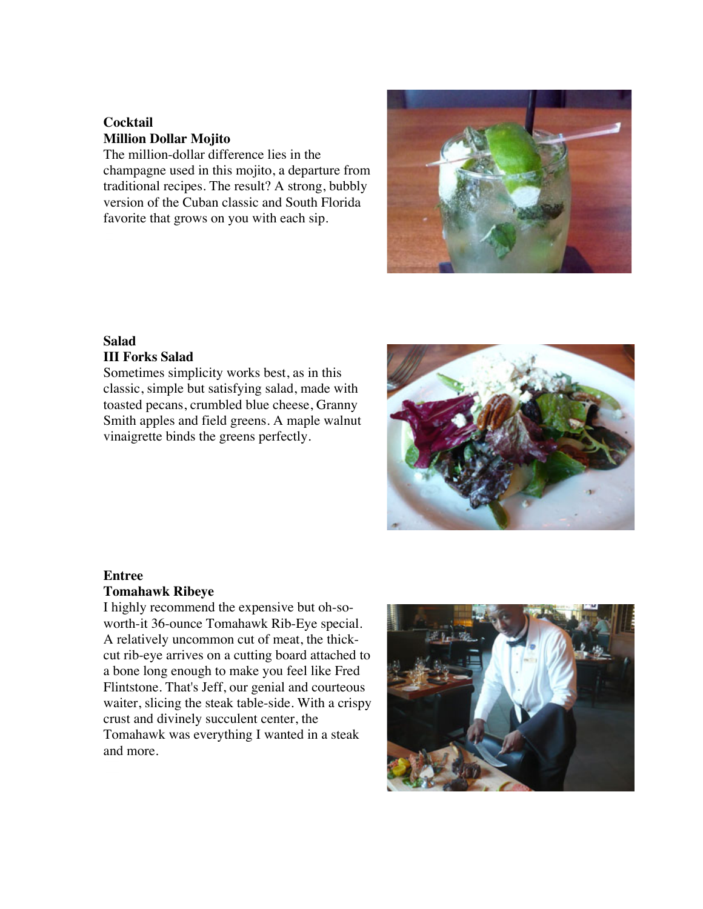### **Cocktail Million Dollar Mojito**

The million-dollar difference lies in the champagne used in this mojito, a departure from traditional recipes. The result? A strong, bubbly version of the Cuban classic and South Florida favorite that grows on you with each sip.

## **Salad**

### **III Forks Salad**

Sometimes simplicity works best, as in this classic, simple but satisfying salad, made with toasted pecans, crumbled blue cheese, Granny Smith apples and field greens. A maple walnut vinaigrette binds the greens perfectly.

#### **Entree**

#### **Tomahawk Ribeye**

I highly recommend the expensive but oh-soworth-it 36-ounce Tomahawk Rib-Eye special. A relatively uncommon cut of meat, the thickcut rib-eye arrives on a cutting board attached to a bone long enough to make you feel like Fred Flintstone. That's Jeff, our genial and courteous waiter, slicing the steak table-side. With a crispy crust and divinely succulent center, the Tomahawk was everything I wanted in a steak and more.